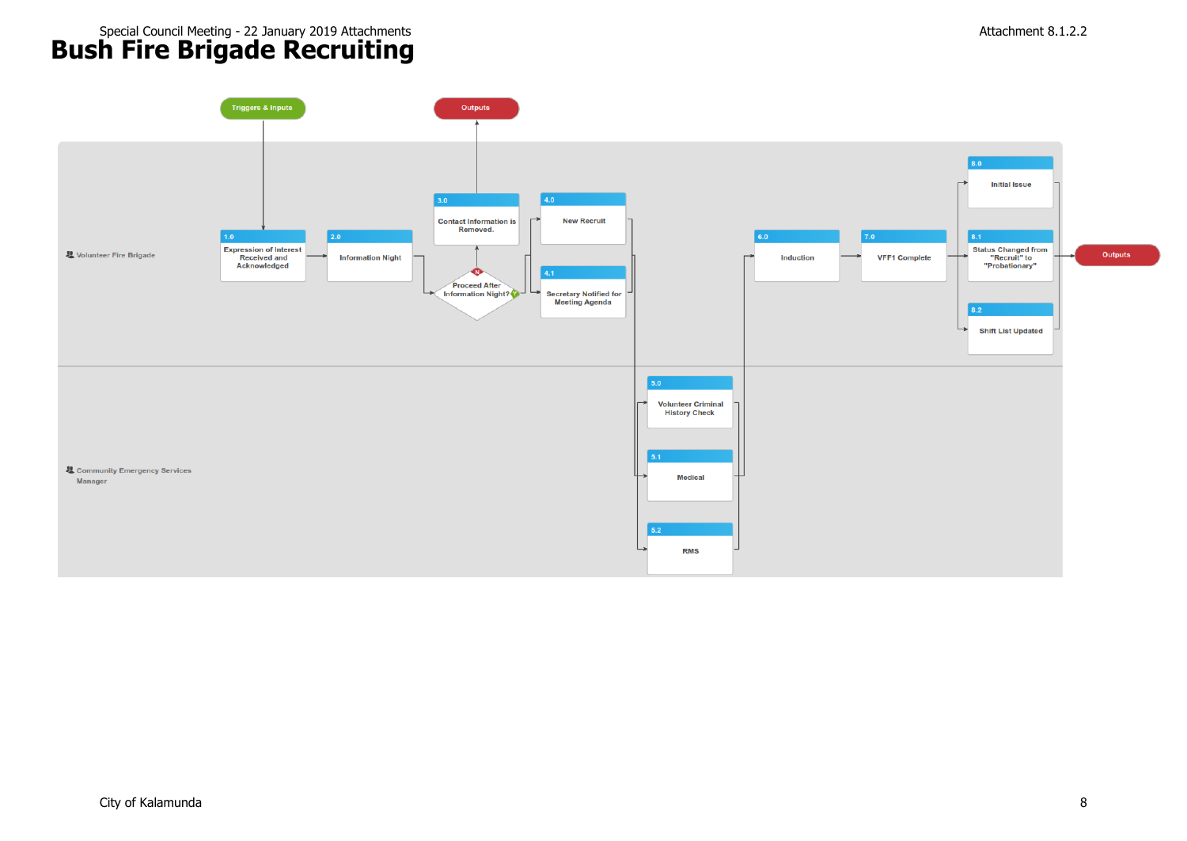# **Bush Fire Brigade Recruiting** Special Council Meeting - 22 January 2019 Attachments Attachment 8.1.2.2

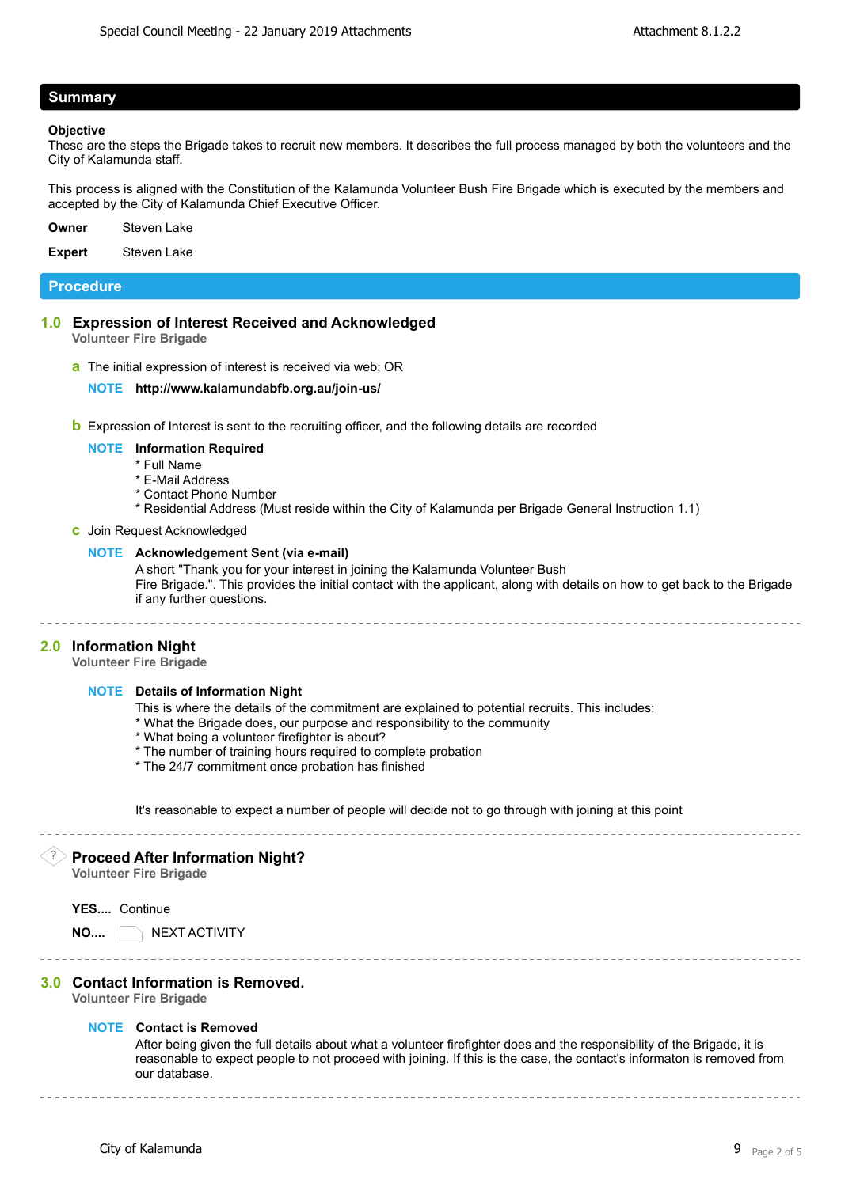# **Summary**

#### **Objective**

These are the steps the Brigade takes to recruit new members. It describes the full process managed by both the volunteers and the City of Kalamunda staff.

This process is aligned with the Constitution of the Kalamunda Volunteer Bush Fire Brigade which is executed by the members and accepted by the City of Kalamunda Chief Executive Officer.

**Owner** Steven Lake

**Expert** Steven Lake

# **Procedure**

**1.0 Expression of Interest Received and Acknowledged**

**Volunteer Fire Brigade**

**a** The initial expression of interest is received via web; OR

#### **NOTE <http://www.kalamundabfb.org.au/join-us/>**

**b** Expression of Interest is sent to the recruiting officer, and the following details are recorded

#### **NOTE Information Required**

- \* Full Name
- \* E-Mail Address
- \* Contact Phone Number
- \* Residential Address (Must reside within the City of Kalamunda per Brigade General Instruction 1.1)

#### **c** Join Request Acknowledged

#### **NOTE Acknowledgement Sent (via e-mail)**

A short "Thank you for your interest in joining the Kalamunda Volunteer Bush Fire Brigade.". This provides the initial contact with the applicant, along with details on how to get back to the Brigade if any further questions.

**2.0 Information Night**

**Volunteer Fire Brigade**

#### **NOTE Details of Information Night**

- This is where the details of the commitment are explained to potential recruits. This includes:
- \* What the Brigade does, our purpose and responsibility to the community
- \* What being a volunteer firefighter is about?
- \* The number of training hours required to complete probation
- \* The 24/7 commitment once probation has finished

It's reasonable to expect a number of people will decide not to go through with joining at this point

# ? **Proceed After Information Night?**

**Volunteer Fire Brigade**

**YES....** Continue

**NO....** NEXT ACTIVITY

**3.0 Contact Information is Removed.**

# **Volunteer Fire Brigade**

### **NOTE Contact is Removed**

After being given the full details about what a volunteer firefighter does and the responsibility of the Brigade, it is reasonable to expect people to not proceed with joining. If this is the case, the contact's informaton is removed from our database.

\_\_\_\_\_\_\_\_\_\_\_\_\_\_\_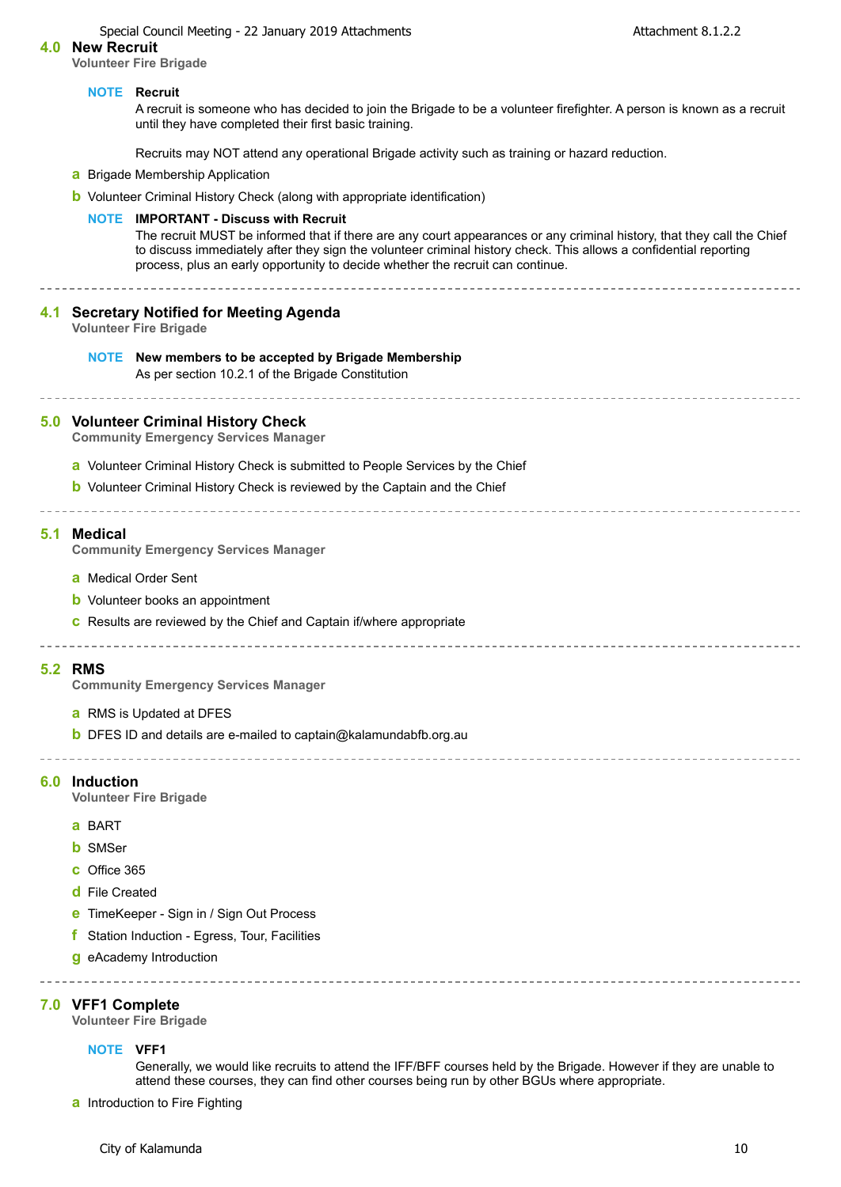Special Council Meeting - 22 January 2019 Attachments **Attachment 8.1.2.2** 

#### **4.0 New Recruit**

**Volunteer Fire Brigade**

#### **NOTE Recruit**

A recruit is someone who has decided to join the Brigade to be a volunteer firefighter. A person is known as a recruit until they have completed their first basic training.

Recruits may NOT attend any operational Brigade activity such as training or hazard reduction.

**a** Brigade Membership Application

**b** Volunteer Criminal History Check (along with appropriate identification)

#### **NOTE IMPORTANT - Discuss with Recruit**

The recruit MUST be informed that if there are any court appearances or any criminal history, that they call the Chief to discuss immediately after they sign the volunteer criminal history check. This allows a confidential reporting process, plus an early opportunity to decide whether the recruit can continue.

### **4.1 Secretary Notified for Meeting Agenda**

**Volunteer Fire Brigade**

#### **NOTE New members to be accepted by Brigade Membership**

As per section 10.2.1 of the Brigade Constitution

#### **5.0 Volunteer Criminal History Check**

**Community Emergency Services Manager**

- **a** Volunteer Criminal History Check is submitted to People Services by the Chief
- **b** Volunteer Criminal History Check is reviewed by the Captain and the Chief

### -----------------------------

#### **5.1 Medical**

**Community Emergency Services Manager**

- **a** Medical Order Sent
- **b** Volunteer books an appointment
- **c** Results are reviewed by the Chief and Captain if/where appropriate

-----------------------------------

#### **5.2 RMS**

**Community Emergency Services Manager**

- **a** RMS is Updated at DFES
- **b** DFES ID and details are e[-mailed to captain@kalamundabfb.org.au](mailto:captain@kalamundabfb.org.au)

#### **6.0 Induction**

**Volunteer Fire Brigade**

- **a** BART
- **b** SMSer
- **c** Office 365
- **d** File Created
- **e** TimeKeeper Sign in / Sign Out Process
- **f** Station Induction Egress, Tour, Facilities
- **g** eAcademy Introduction

#### **7.0 VFF1 Complete**

**Volunteer Fire Brigade**

#### **NOTE VFF1**

Generally, we would like recruits to attend the IFF/BFF courses held by the Brigade. However if they are unable to attend these courses, they can find other courses being run by other BGUs where appropriate.

**a** Introduction to Fire Fighting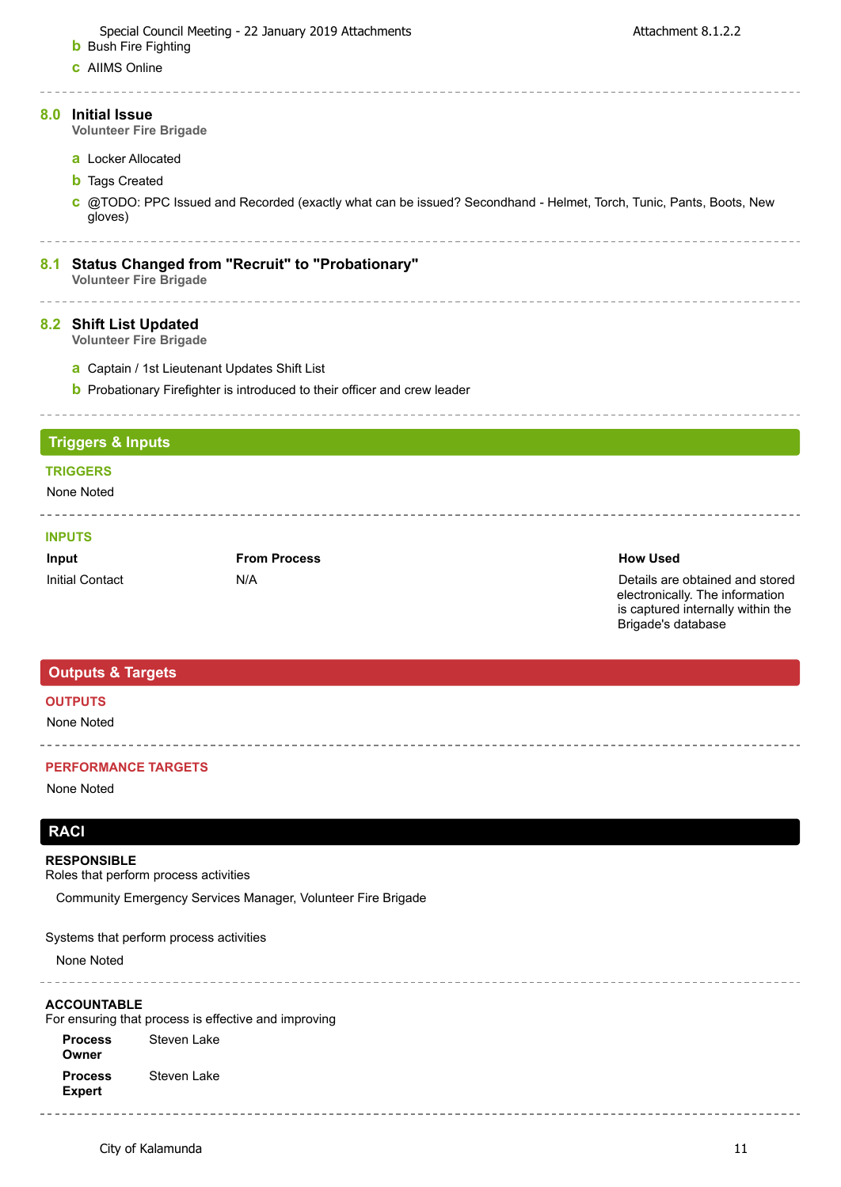**b** Bush Fire Fighting **c** AIIMS Online

 $- - - - -$ 

# **8.0 Initial Issue**

**Volunteer Fire Brigade**

- **a** Locker Allocated
- **b** Tags Created
- **c** [@TODO:](mailto:@todo) PPC Issued and Recorded (exactly what can be issued? Secondhand Helmet, Torch, Tunic, Pants, Boots, New gloves)

# **8.1 Status Changed from "Recruit" to "Probationary"**

**Volunteer Fire Brigade**

# **8.2 Shift List Updated**

**Volunteer Fire Brigade**

\_\_\_\_\_\_\_\_\_\_\_\_\_

- **a** Captain / 1st Lieutenant Updates Shift List
- **b** Probationary Firefighter is introduced to their officer and crew leader

# **Triggers & Inputs**

# **TRIGGERS**

None Noted

# **INPUTS**

| Input           | <b>From Process</b> | <b>How Used</b> |
|-----------------|---------------------|-----------------|
| Initial Contact | N/A                 | Details are     |

Details are obtained and stored electronically. The information is captured internally within the Brigade's database

<u>La de de de de de</u>

# **Outputs & Targets**

# **OUTPUTS**

None Noted

# **PERFORMANCE TARGETS**

None Noted

# **RACI**

### **RESPONSIBLE**

Roles that perform process activities

Community Emergency Services Manager, Volunteer Fire Brigade

Systems that perform process activities

None Noted

### **ACCOUNTABLE**

For ensuring that process is effective and improving

**Process Owner Process Expert** Steven Lake Steven Lake

 $- - - - - - - -$